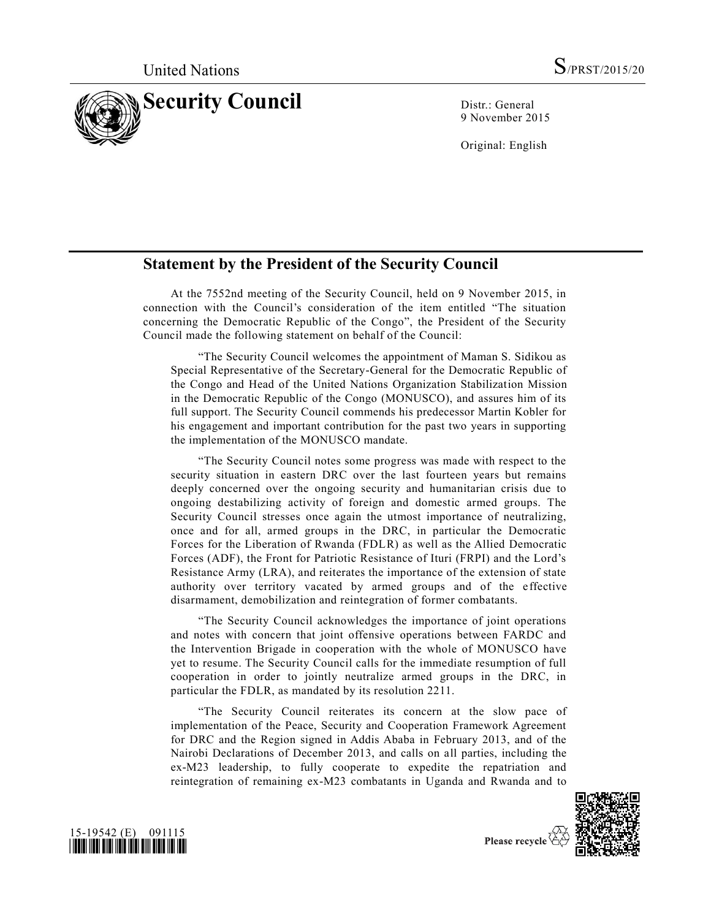

9 November 2015

Original: English

## **Statement by the President of the Security Council**

At the 7552nd meeting of the Security Council, held on 9 November 2015, in connection with the Council's consideration of the item entitled "The situation concerning the Democratic Republic of the Congo", the President of the Security Council made the following statement on behalf of the Council:

"The Security Council welcomes the appointment of Maman S. Sidikou as Special Representative of the Secretary-General for the Democratic Republic of the Congo and Head of the United Nations Organization Stabilization Mission in the Democratic Republic of the Congo (MONUSCO), and assures him of its full support. The Security Council commends his predecessor Martin Kobler for his engagement and important contribution for the past two years in supporting the implementation of the MONUSCO mandate.

"The Security Council notes some progress was made with respect to the security situation in eastern DRC over the last fourteen years but remains deeply concerned over the ongoing security and humanitarian crisis due to ongoing destabilizing activity of foreign and domestic armed groups. The Security Council stresses once again the utmost importance of neutralizing, once and for all, armed groups in the DRC, in particular the Democratic Forces for the Liberation of Rwanda (FDLR) as well as the Allied Democratic Forces (ADF), the Front for Patriotic Resistance of Ituri (FRPI) and the Lord's Resistance Army (LRA), and reiterates the importance of the extension of state authority over territory vacated by armed groups and of the effective disarmament, demobilization and reintegration of former combatants.

"The Security Council acknowledges the importance of joint operations and notes with concern that joint offensive operations between FARDC and the Intervention Brigade in cooperation with the whole of MONUSCO have yet to resume. The Security Council calls for the immediate resumption of full cooperation in order to jointly neutralize armed groups in the DRC, in particular the FDLR, as mandated by its resolution 2211.

"The Security Council reiterates its concern at the slow pace of implementation of the Peace, Security and Cooperation Framework Agreement for DRC and the Region signed in Addis Ababa in February 2013, and of the Nairobi Declarations of December 2013, and calls on all parties, including the ex-M23 leadership, to fully cooperate to expedite the repatriation and reintegration of remaining ex-M23 combatants in Uganda and Rwanda and to